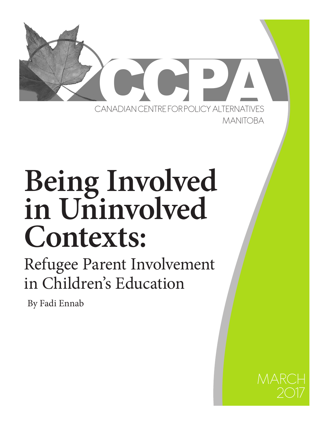

# **Being Involved in Uninvolved Contexts:**

Refugee Parent Involvement in Children's Education

By Fadi Ennab

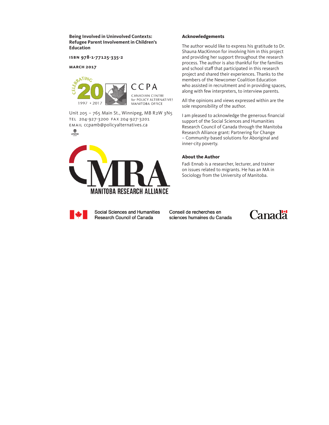**Being Involved in Uninvolved Contexts: Refugee Parent Involvement in Children's Education**

**isbn 978-1-77125-335-2**



Unit 205 – 765 Main St., Winnipeg, MB R2W 3N5 tel 204-927-3200 fax 204-927-3201 email ccpamb@policyalternatives.ca







Social Sciences and Humanities Research Council of Canada

**Acknowledgements**

The author would like to express his gratitude to Dr. Shauna MacKinnon for involving him in this project and providing her support throughout the research process. The author is also thankful for the families and school staff that participated in this research project and shared their experiences. Thanks to the members of the Newcomer Coalition Education who assisted in recruitment and in providing spaces, along with few interpreters, to interview parents.

All the opinions and views expressed within are the sole responsibility of the author.

I am pleased to acknowledge the generous financial support of the Social Sciences and Humanities Research Council of Canada through the Manitoba Research Alliance grant: Partnering for Change – Community-based solutions for Aboriginal and inner-city poverty.

#### **About the Author**

Fadi Ennab is a researcher, lecturer, and trainer on issues related to migrants. He has an MA in Sociology from the University of Manitoba.

Conseil de recherches en sciences humaines du Canada

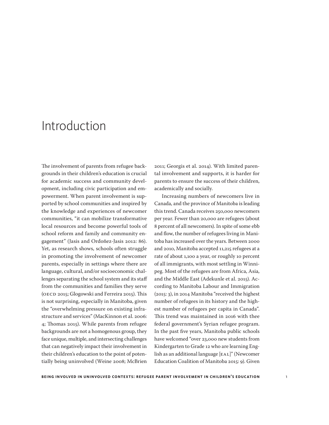## Introduction

The involvement of parents from refugee backgrounds in their children's education is crucial for academic success and community development, including civic participation and empowerment. When parent involvement is supported by school communities and inspired by the knowledge and experiences of newcomer communities, "it can mobilize transformative local resources and become powerful tools of school reform and family and community engagement" (Jasis and Ordoñez-Jasis 2012: 86). Yet, as research shows, schools often struggle in promoting the involvement of newcomer parents, especially in settings where there are language, cultural, and/or socioeconomic challenges separating the school system and its staff from the communities and families they serve (OECD 2015; Glogowski and Ferreira 2015). This is not surprising, especially in Manitoba, given the "overwhelming pressure on existing infrastructure and services" (MacKinnon et al. 2006: 4; Thomas 2015). While parents from refugee backgrounds are not a homogenous group, they face unique, multiple, and intersecting challenges that can negatively impact their involvement in their children's education to the point of potentially being uninvolved (Weine 2008; McBrien

2011; Georgis et al. 2014). With limited parental involvement and supports, it is harder for parents to ensure the success of their children, academically and socially.

Increasing numbers of newcomers live in Canada, and the province of Manitoba is leading this trend. Canada receives 250,000 newcomers per year. Fewer than 20,000 are refugees (about 8 percent of all newcomers). In spite of some ebb and flow, the number of refugees living in Manitoba has increased over the years. Between 2000 and 2010, Manitoba accepted 11,215 refugees at a rate of about 1,100 a year, or roughly 10 percent of all immigrants, with most settling in Winnipeg. Most of the refugees are from Africa, Asia, and the Middle East (Adekunle et al. 2015). According to Manitoba Labour and Immigration (2015: 3), in 2014 Manitoba "received the highest number of refugees in its history and the highest number of refugees per capita in Canada". This trend was maintained in 2016 with thee federal government's Syrian refugee program. In the past five years, Manitoba public schools have welcomed "over 23,000 new students from Kindergarten to Grade 12 who are learning English as an additional language [EAL]" (Newcomer Education Coalition of Manitoba 2015: 9). Given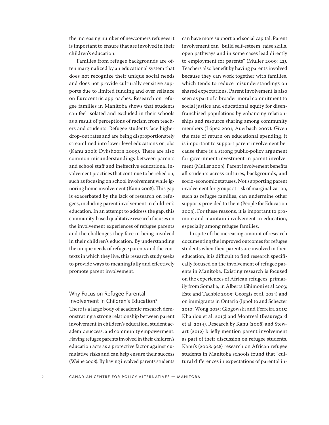the increasing number of newcomers refugees it is important to ensure that are involved in their children's education.

Families from refugee backgrounds are often marginalized by an educational system that does not recognize their unique social needs and does not provide culturally sensitive supports due to limited funding and over reliance on Eurocentric approaches. Research on refugee families in Manitoba shows that students can feel isolated and excluded in their schools as a result of perceptions of racism from teachers and students. Refugee students face higher drop-out rates and are being disproportionately streamlined into lower level educations or jobs (Kanu 2008; Dykshoorn 2009). There are also common misunderstandings between parents and school staff and ineffective educational involvement practices that continue to be relied on, such as focusing on school involvement while ignoring home involvement (Kanu 2008). This gap is exacerbated by the lack of research on refugees, including parent involvement in children's education. In an attempt to address the gap, this community-based qualitative research focuses on the involvement experiences of refugee parents and the challenges they face in being involved in their children's education. By understanding the unique needs of refugee parents and the contexts in which they live, this research study seeks to provide ways to meaningfully and effectively promote parent involvement.

### Why Focus on Refugee Parental

Involvement in Children's Education?

There is a large body of academic research demonstrating a strong relationship between parent involvement in children's education, student academic success, and community empowerment. Having refugee parents involved in their children's education acts as a protective factor against cumulative risks and can help ensure their success (Weine 2008). By having involved parents students can have more support and social capital. Parent involvement can "build self-esteem, raise skills, open pathways and in some cases lead directly to employment for parents" (Muller 2009: 22). Teachers also benefit by having parents involved because they can work together with families, which tends to reduce misunderstandings on shared expectations. Parent involvement is also seen as part of a broader moral commitment to social justice and educational equity for disenfranchised populations by enhancing relationships and resource sharing among community members (López 2001; Auerbach 2007). Given the rate of return on educational spending, it is important to support parent involvement because there is a strong public-policy argument for government investment in parent involvement (Muller 2009). Parent involvement benefits all students across cultures, backgrounds, and socio-economic statuses. Not supporting parent involvement for groups at risk of marginalization, such as refugee families, can undermine other supports provided to them (People for Education 2009). For these reasons, it is important to promote and maintain involvement in education, especially among refugee families.

In spite of the increasing amount of research documenting the improved outcomes for refugee students when their parents are involved in their education, it is difficult to find research specifically focused on the involvement of refugee parents in Manitoba. Existing research is focused on the experiences of African refugees, primarily from Somalia, in Alberta (Shimoni et al 2003; Este and Tachble 2009; Georgis et al. 2014) and on immigrants in Ontario (Ippolito and Schecter 2010; Wong 2015; Glogowski and Ferreira 2015; Khanlou et al. 2015) and Montreal (Beauregard et al. 2014). Research by Kanu (2008) and Stewart (2012) briefly mention parent involvement as part of their discussion on refugee students. Kanu's (2008: 928) research on African refugee students in Manitoba schools found that "cultural differences in expectations of parental in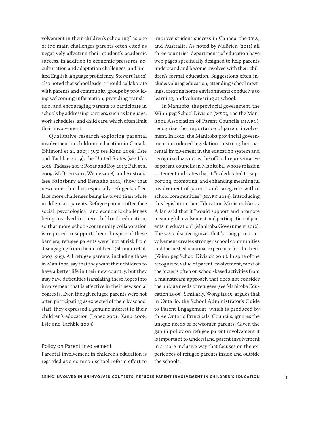volvement in their children's schooling" as one of the main challenges parents often cited as negatively affecting their student's academic success, in addition to economic pressures, acculturation and adaptation challenges, and limited English language proficiency. Stewart (2012) also noted that school leaders should collaborate with parents and community groups by providing welcoming information, providing translation, and encouraging parents to participate in schools by addressing barriers, such as language, work schedules, and child care, which often limit their involvement.

Qualitative research exploring parental involvement in children's education in Canada (Shimoni et al. 2003: 565; see Kanu 2008; Este and Tachble 2009), the United States (see Hos 2016; Tadesse 2014; Roxas and Roy 2013; Rah et al 2009; McBrien 2011; Weine 2008), and Australia (see Sainsbury and Renzaho 2011) show that newcomer families, especially refugees, often face more challenges being involved than white middle-class parents. Refugee parents often face social, psychological, and economic challenges being involved in their children's education, so that more school-community collaboration is required to support them. In spite of these barriers, refugee parents were "not at risk from disengaging from their children" (Shimoni et al. 2003: 565). All refugee parents, including those in Manitoba, say that they want their children to have a better life in their new country, but they may have difficulties translating these hopes into involvement that is effective in their new social contexts. Even though refugee parents were not often participating as expected of them by school staff, they expressed a genuine interest in their children's education (López 2001; Kanu 2008; Este and Tachble 2009).

#### Policy on Parent Involvement

Parental involvement in children's education is regarded as a common school-reform effort to

improve student success in Canada, the USA, and Australia. As noted by McBrien (2011) all three countries' departments of education have web pages specifically designed to help parents understand and become involved with their children's formal education. Suggestions often include: valuing education, attending school meetings, creating home environments conducive to learning, and volunteering at school.

In Manitoba, the provincial government, the Winnipeg School Division (WSD), and the Manitoba Association of Parent Councils (MAPC), recognize the importance of parent involvement. In 2012, the Manitoba provincial government introduced legislation to strengthen parental involvement in the education system and recognized MAPC as the official representative of parent councils in Manitoba, whose mission statement indicates that it "is dedicated to supporting, promoting, and enhancing meaningful involvement of parents and caregivers within school communities" (MAPC 2014). Introducing this legislation then Education Minister Nancy Allan said that it "would support and promote meaningful involvement and participation of parents in education" (Manitoba Government 2012). The WSD also recognizes that "strong parent involvement creates stronger school communities and the best educational experience for children" (Winnipeg School Division 2016). In spite of the recognized value of parent involvement, most of the focus is often on school-based activities from a mainstream approach that does not consider the unique needs of refugees (see Manitoba Education 2005). Similarly, Wong (2015) argues that in Ontario, the School Administrator's Guide to Parent Engagement, which is produced by three Ontario Principals' Councils, ignores the unique needs of newcomer parents. Given the gap in policy on refugee parent involvement it is important to understand parent involvement in a more inclusive way that focuses on the experiences of refugee parents inside and outside the schools.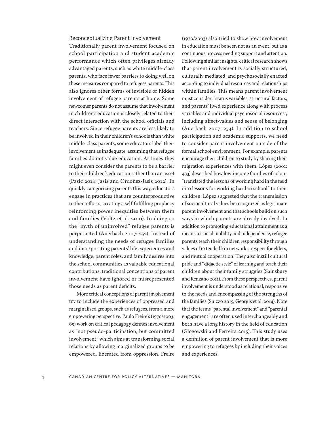Reconceptualizing Parent Involvement

Traditionally parent involvement focused on school participation and student academic performance which often privileges already advantaged parents, such as white middle-class parents, who face fewer barriers to doing well on these measures compared to refugees parents. This also ignores other forms of invisible or hidden involvement of refugee parents at home. Some newcomer parents do not assume that involvement in children's education is closely related to their direct interaction with the school officials and teachers. Since refugee parents are less likely to be involved in their children's schools than white middle-class parents, some educators label their involvement as inadequate, assuming that refugee families do not value education. At times they might even consider the parents to be a barrier to their children's education rather than an asset (Pasic 2014; Jasis and Ordoñez-Jasis 2012). In quickly categorizing parents this way, educators engage in practices that are counterproductive to their efforts, creating a self-fulfilling prophecy reinforcing power inequities between them and families (Voltz et al. 2010). In doing so the "myth of uninvolved" refugee parents is perpetuated (Auerbach 2007: 252). Instead of understanding the needs of refugee families and incorporating parents' life experiences and knowledge, parent roles, and family desires into the school communities as valuable educational contributions, traditional conceptions of parent involvement have ignored or misrepresented those needs as parent deficits.

More critical conceptions of parent involvement try to include the experiences of oppressed and marginalised groups, such as refugees, from a more empowering perspective. Paulo Freire's (1970/2003: 69) work on critical pedagogy defines involvement as "not pseudo-participation, but committed involvement" which aims at transforming social relations by allowing marginalized groups to be empowered, liberated from oppression. Freire (1970/2003) also tried to show how involvement in education must be seen not as an event, but as a continuous process needing support and attention. Following similar insights, critical research shows that parent involvement is socially structured, culturally mediated, and psychosocially enacted according to individual resources and relationships within families. This means parent involvement must consider: "status variables, structural factors, and parents' lived experience along with process variables and individual psychosocial resources", including affect-values and sense of belonging (Auerbach 2007: 254). In addition to school participation and academic supports, we need to consider parent involvement outside of the formal school environment. For example, parents encourage their children to study by sharing their migration experiences with them. López (2001: 433) described how low-income families of colour "translated the lessons of working hard in the field into lessons for working hard in school" to their children. López suggested that the transmission of sociocultural values be recognized as legitimate parent involvement and that schools build on such ways in which parents are already involved. In addition to promoting educational attainment as a means to social mobility and independence, refugee parents teach their children responsibility through values of extended kin networks, respect for elders, and mutual cooperation. They also instill cultural pride and "didactic style" of learning and teach their children about their family struggles (Sainsbury and Renzaho 2011). From these perspectives, parent involvement is understood as relational, responsive to the needs and encompassing of the strengths of the families (Suizzo 2015; Georgis et al. 2014). Note that the terms "parental involvement" and "parental engagement" are often used interchangeably and both have a long history in the field of education (Glogowski and Ferreira 2015). This study uses a definition of parent involvement that is more empowering to refugees by including their voices and experiences.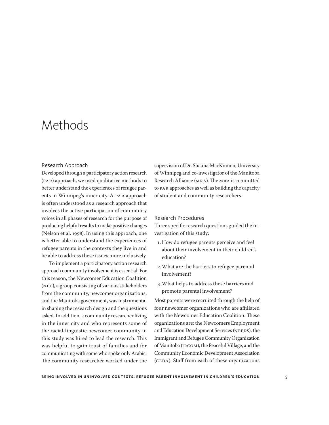## Methods

#### Research Approach

Developed through a participatory action research (PAR) approach, we used qualitative methods to better understand the experiences of refugee parents in Winnipeg's inner city. A PAR approach is often understood as a research approach that involves the active participation of community voices in all phases of research for the purpose of producing helpful results to make positive changes (Nelson et al. 1998). In using this approach, one is better able to understand the experiences of refugee parents in the contexts they live in and be able to address these issues more inclusively.

To implement a participatory action research approach community involvement is essential. For this reason, the Newcomer Education Coalition (NEC), a group consisting of various stakeholders from the community, newcomer organizations, and the Manitoba government, was instrumental in shaping the research design and the questions asked. In addition, a community researcher living in the inner city and who represents some of the racial-linguistic newcomer community in this study was hired to lead the research. This was helpful to gain trust of families and for communicating with some who spoke only Arabic. The community researcher worked under the

supervision of Dr. Shauna MacKinnon, University of Winnipeg and co-investigator of the Manitoba Research Alliance (MRA). The MRA is committed to PAR approaches as well as building the capacity of student and community researchers.

#### Research Procedures

Three specific research questions guided the investigation of this study:

- 1. How do refugee parents perceive and feel about their involvement in their children's education?
- 2.What are the barriers to refugee parental involvement?
- 3.What helps to address these barriers and promote parental involvement?

Most parents were recruited through the help of four newcomer organizations who are affiliated with the Newcomer Education Coalition. These organizations are: the Newcomers Employment and Education Development Services (NEEDS), the Immigrant and Refugee Community Organization of Manitoba (IRCOM), the Peaceful Village, and the Community Economic Development Association (CEDA). Staff from each of these organizations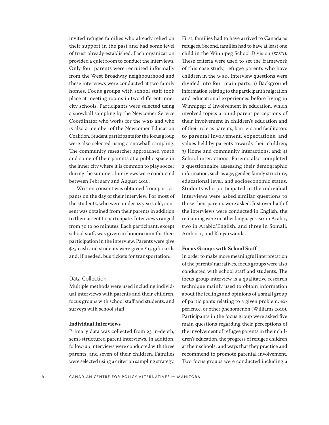invited refugee families who already relied on their support in the past and had some level of trust already established. Each organization provided a quiet room to conduct the interviews. Only four parents were recruited informally from the West Broadway neighbourhood and these interviews were conducted at two family homes. Focus groups with school staff took place at meeting rooms in two different inner city schools. Participants were selected using a snowball sampling by the Newcomer Service Coordinator who works for the WSD and who is also a member of the Newcomer Education Coalition. Student participants for the focus group were also selected using a snowball sampling. The community researcher approached youth and some of their parents at a public space in the inner city where it is common to play soccer during the summer. Interviews were conducted between February and August 2016.

Written consent was obtained from participants on the day of their interview. For most of the students, who were under 18 years old, consent was obtained from their parents in addition to their assent to participate. Interviews ranged from 30 to 90 minutes. Each participant, except school staff, was given an honorarium for their participation in the interview. Parents were give \$25 cash and students were given \$15 gift cards and, if needed, bus tickets for transportation.

#### Data Collection

Multiple methods were used including individual interviews with parents and their children, focus groups with school staff and students, and surveys with school staff.

#### **Individual Interviews**

Primary data was collected from 23 in-depth, semi-structured parent interviews. In addition, follow-up interviews were conducted with three parents, and seven of their children. Families were selected using a criterion sampling strategy. First, families had to have arrived to Canada as refugees. Second, families had to have at least one child in the Winnipeg School Division (WSD). These criteria were used to set the framework of this case study, refugee parents who have children in the WSD. Interview questions were divided into four main parts: 1) Background information relating to the participant's migration and educational experiences before living in Winnipeg; 2) Involvement in education, which involved topics around parent perceptions of their involvement in children's education and of their role as parents, barriers and facilitators to parental involvement, expectations, and values held by parents towards their children; 3) Home and community interactions, and; 4) School interactions. Parents also completed a questionnaire assessing their demographic information, such as age, gender, family structure, educational level, and socioeconomic status. Students who participated in the individual interviews were asked similar questions to those their parents were asked. Just over half of the interviews were conducted in English, the remaining were in other languages: six in Arabic, two in Arabic/English, and three in Somali, Amharic, and Kinyarwanda.

#### **Focus Groups with School Staff**

In order to make more meaningful interpretation of the parents' narratives, focus groups were also conducted with school staff and students. The focus group interview is a qualitative research technique mainly used to obtain information about the feelings and opinions of a small group of participants relating to a given problem, experience, or other phenomenon (Williams 2010). Participants in the focus group were asked five main questions regarding their perceptions of the involvement of refugee parents in their children's education, the progress of refugee children at their schools, and ways that they practice and recommend to promote parental involvement. Two focus groups were conducted including a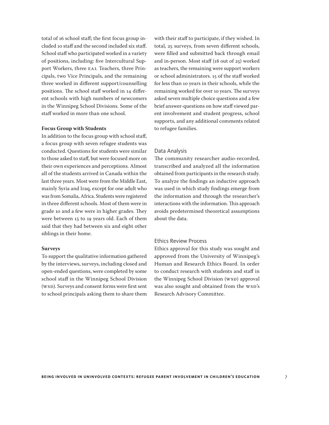total of 16 school staff; the first focus group included 10 staff and the second included six staff. School staff who participated worked in a variety of positions, including: five Intercultural Support Workers, three EAL Teachers, three Principals, two Vice Principals, and the remaining three worked in different support/counselling positions. The school staff worked in 14 different schools with high numbers of newcomers in the Winnipeg School Divisions. Some of the staff worked in more than one school.

#### **Focus Group with Students**

In addition to the focus group with school staff, a focus group with seven refugee students was conducted. Questions for students were similar to those asked to staff, but were focused more on their own experiences and perceptions. Almost all of the students arrived in Canada within the last three years. Most were from the Middle East, mainly Syria and Iraq, except for one adult who was from Somalia, Africa. Students were registered in three different schools. Most of them were in grade 10 and a few were in higher grades. They were between 15 to 19 years old. Each of them said that they had between six and eight other siblings in their home.

#### **Surveys**

To support the qualitative information gathered by the interviews, surveys, including closed and open-ended questions, were completed by some school staff in the Winnipeg School Division (WSD). Surveys and consent forms were first sent to school principals asking them to share them

with their staff to participate, if they wished. In total, 25 surveys, from seven different schools, were filled and submitted back through email and in-person. Most staff (18 out of 25) worked as teachers, the remaining were support workers or school administrators. 15 of the staff worked for less than 10 years in their schools, while the remaining worked for over 10 years. The surveys asked seven multiple choice questions and a few brief answer-questions on how staff viewed parent involvement and student progress, school supports, and any additional comments related to refugee families.

#### Data Analysis

The community researcher audio-recorded, transcribed and analyzed all the information obtained from participants in the research study. To analyze the findings an inductive approach was used in which study findings emerge from the information and through the researcher's interactions with the information. This approach avoids predetermined theoretical assumptions about the data.

#### Ethics Review Process

Ethics approval for this study was sought and approved from the University of Winnipeg's Human and Research Ethics Board. In order to conduct research with students and staff in the Winnipeg School Division (WSD) approval was also sought and obtained from the WSD's Research Advisory Committee.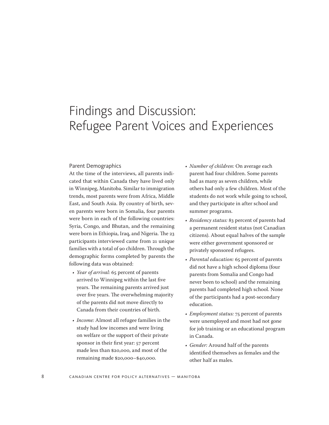## Findings and Discussion: Refugee Parent Voices and Experiences

#### Parent Demographics

At the time of the interviews, all parents indicated that within Canada they have lived only in Winnipeg, Manitoba. Similar to immigration trends, most parents were from Africa, Middle East, and South Asia. By country of birth, seven parents were born in Somalia, four parents were born in each of the following countries: Syria, Congo, and Bhutan, and the remaining were born in Ethiopia, Iraq, and Nigeria. The 23 participants interviewed came from 21 unique families with a total of 90 children. Through the demographic forms completed by parents the following data was obtained:

- *• Year of arrival:* 65 percent of parents arrived to Winnipeg within the last five years. The remaining parents arrived just over five years. The overwhelming majority of the parents did not move directly to Canada from their countries of birth.
- *• Income:* Almost all refugee families in the study had low incomes and were living on welfare or the support of their private sponsor in their first year: 57 percent made less than \$20,000, and most of the remaining made \$20,000–\$40,000.
- *• Number of children:* On average each parent had four children. Some parents had as many as seven children, while others had only a few children. Most of the students do not work while going to school, and they participate in after school and summer programs.
- *• Residency status:* 83 percent of parents had a permanent resident status (not Canadian citizens). About equal halves of the sample were either government sponsored or privately sponsored refugees.
- *• Parental education:* 65 percent of parents did not have a high school diploma (four parents from Somalia and Congo had never been to school) and the remaining parents had completed high school. None of the participants had a post-secondary education.
- *• Employment status:* 75 percent of parents were unemployed and most had not gone for job training or an educational program in Canada.
- *• Gender:* Around half of the parents identified themselves as females and the other half as males.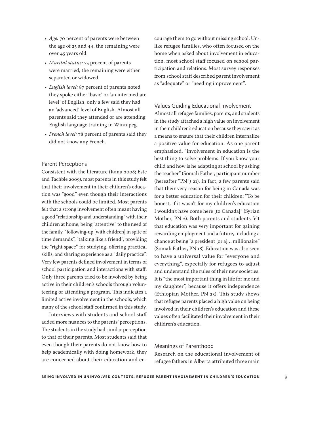- *• Age:* 70 percent of parents were between the age of 25 and 44, the remaining were over 45 years old.
- *• Marital status:* 75 precent of parents were married, the remaining were either separated or widowed.
- *• English level:* 87 percent of parents noted they spoke either 'basic' or 'an intermediate level' of English, only a few said they had an 'advanced' level of English. Almost all parents said they attended or are attending English language training in Winnipeg.
- *• French level:* 78 percent of parents said they did not know any French.

#### Parent Perceptions

Consistent with the literature (Kanu 2008; Este and Tachble 2009), most parents in this study felt that their involvement in their children's education was "good" even though their interactions with the schools could be limited. Most parents felt that a strong involvement often meant having a good "relationship and understanding" with their children at home, being "attentive" to the need of the family, "following-up [with children] in spite of time demands", "talking like a friend", providing the "right space" for studying, offering practical skills, and sharing experience as a "daily practice". Very few parents defined involvement in terms of school participation and interactions with staff. Only three parents tried to be involved by being active in their children's schools through volunteering or attending a program. This indicates a limited active involvement in the schools, which many of the school staff confirmed in this study.

Interviews with students and school staff added more nuances to the parents' perceptions. The students in the study had similar perception to that of their parents. Most students said that even though their parents do not know how to help academically with doing homework, they are concerned about their education and encourage them to go without missing school. Unlike refugee families, who often focused on the home when asked about involvement in education, most school staff focused on school participation and relations. Most survey responses from school staff described parent involvement as "adequate" or "needing improvement".

Values Guiding Educational Involvement Almost all refugee families, parents, and students in the study attached a high value on involvement in their children's education because they saw it as a means to ensure that their children internalize a positive value for education. As one parent emphasized, "involvement in education is the best thing to solve problems. If you know your child and how is he adapting at school by asking the teacher" (Somali Father, participant number (hereafter "PN") 21). In fact, a few parents said that their very reason for being in Canada was for a better education for their children: "To be honest, if it wasn't for my children's education I wouldn't have come here [to Canada]" (Syrian Mother, PN 2). Both parents and students felt that education was very important for gaining rewarding employment and a future, including a chance at being "a president [or a]… millionaire" (Somali Father, PN 18). Education was also seen to have a universal value for "everyone and everything", especially for refugees to adjust and understand the rules of their new societies. It is "the most important thing in life for me and my daughter", because it offers independence (Ethiopian Mother, PN 23). This study shows that refugee parents placed a high value on being involved in their children's education and these values often facilitated their involvement in their children's education.

#### Meanings of Parenthood

Research on the educational involvement of refugee fathers in Alberta attributed three main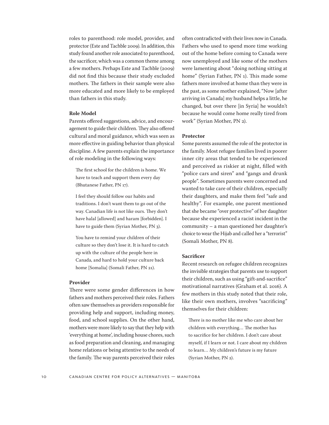roles to parenthood: role model, provider, and protector (Este and Tachble 2009). In addition, this study found another role associated to parenthood, the sacrificer, which was a common theme among a few mothers. Perhaps Este and Tachble (2009) did not find this because their study excluded mothers. The fathers in their sample were also more educated and more likely to be employed than fathers in this study.

#### **Role Model**

Parents offered suggestions, advice, and encouragement to guide their children. They also offered cultural and moral guidance, which was seen as more effective in guiding behavior than physical discipline. A few parents explain the importance of role modeling in the following ways:

The first school for the children is home. We have to teach and support them every day (Bhutanese Father, PN 17).

I feel they should follow our habits and traditions. I don't want them to go out of the way. Canadian life is not like ours. They don't have halal [allowed] and haram [forbidden]. I have to guide them (Syrian Mother, PN 3).

You have to remind your children of their culture so they don't lose it. It is hard to catch up with the culture of the people here in Canada, and hard to hold your culture back home [Somalia] (Somali Father, PN 21).

#### **Provider**

There were some gender differences in how fathers and mothers perceived their roles. Fathers often saw themselves as providers responsible for providing help and support, including money, food, and school supplies. On the other hand, mothers were more likely to say that they help with 'everything at home', including house chores, such as food preparation and cleaning, and managing home relations or being attentive to the needs of the family. The way parents perceived their roles often contradicted with their lives now in Canada. Fathers who used to spend more time working out of the home before coming to Canada were now unemployed and like some of the mothers were lamenting about "doing nothing sitting at home" (Syrian Father, PN 1). This made some fathers more involved at home than they were in the past, as some mother explained, "Now [after arriving in Canada] my husband helps a little, he changed, but over there [in Syria] he wouldn't because he would come home really tired from work" (Syrian Mother, PN 2).

#### **Protector**

Some parents assumed the role of the protector in the family. Most refugee families lived in poorer inner city areas that tended to be experienced and perceived as riskier at night, filled with "police cars and siren" and "gangs and drunk people". Sometimes parents were concerned and wanted to take care of their children, especially their daughters, and make them feel "safe and healthy". For example, one parent mentioned that she became "over protective" of her daughter because she experienced a racist incident in the community – a man questioned her daughter's choice to wear the Hijab and called her a "terrorist" (Somali Mother, PN 8).

#### **Sacrificer**

Recent research on refugee children recognizes the invisible strategies that parents use to support their children, such as using "gift-and-sacrifice" motivational narratives (Graham et al. 2016). A few mothers in this study noted that their role, like their own mothers, involves "sacrificing" themselves for their children:

There is no mother like me who care about her children with everything… The mother has to sacrifice for her children. I don't care about myself, if I learn or not. I care about my children to learn… My children's future is my future (Syrian Mother, PN 2).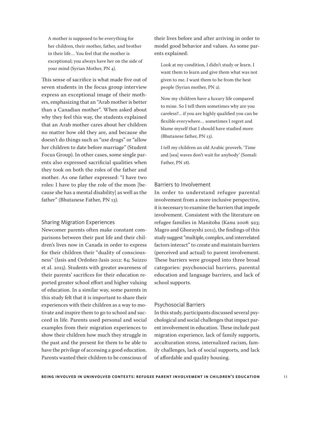A mother is supposed to be everything for her children, their mother, father, and brother in their life… You feel that the mother is exceptional; you always have her on the side of your mind (Syrian Mother, PN 4).

This sense of sacrifice is what made five out of seven students in the focus group interview express an exceptional image of their mothers, emphasizing that an "Arab mother is better than a Canadian mother". When asked about why they feel this way, the students explained that an Arab mother cares about her children no matter how old they are, and because she doesn't do things such as "use drugs" or "allow her children to date before marriage" (Student Focus Group). In other cases, some single parents also expressed sacrificial qualities when they took on both the roles of the father and mother. As one father expressed: "I have two roles: I have to play the role of the mom [because she has a mental disability] as well as the father" (Bhutanese Father, PN 13).

#### Sharing Migration Experiences

Newcomer parents often make constant comparisons between their past life and their children's lives now in Canada in order to express for their children their "duality of consciousness" (Jasis and Ordoñez-Jasis 2012: 84; Suizzo et al. 2015). Students with greater awareness of their parents' sacrifices for their education reported greater school effort and higher valuing of education. In a similar way, some parents in this study felt that it is important to share their experiences with their children as a way to motivate and inspire them to go to school and succeed in life. Parents used personal and social examples from their migration experiences to show their children how much they struggle in the past and the present for them to be able to have the privilege of accessing a good education. Parents wanted their children to be conscious of their lives before and after arriving in order to model good behavior and values. As some parents explained:

Look at my condition, I didn't study or learn. I want them to learn and give them what was not given to me. I want them to be from the best people (Syrian mother, PN 2).

Now my children have a luxury life compared to mine. So I tell them sometimes why are you careless?... if you are highly qualified you can be flexible everywhere… sometimes I regret and blame myself that I should have studied more (Bhutanese father, PN 13).

I tell my children an old Arabic proverb, 'Time and [sea] waves don't wait for anybody' (Somali Father, PN 18).

#### Barriers to Involvement

In order to understand refugee parental involvement from a more inclusive perspective, it is necessary to examine the barriers that impede involvement. Consistent with the literature on refugee families in Manitoba (Kanu 2008: 923; Magro and Ghorayshi 2011), the findings of this study suggest "multiple, complex, and interrelated factors interact" to create and maintain barriers (perceived and actual) to parent involvement. These barriers were grouped into three broad categories: psychosocial barriers, parental education and language barriers, and lack of school supports.

#### Psychosocial Barriers

In this study, participants discussed several psychological and social challenges that impact parent involvement in education. These include past migration experience, lack of family supports, acculturation stress, internalized racism, family challenges, lack of social supports, and lack of affordable and quality housing.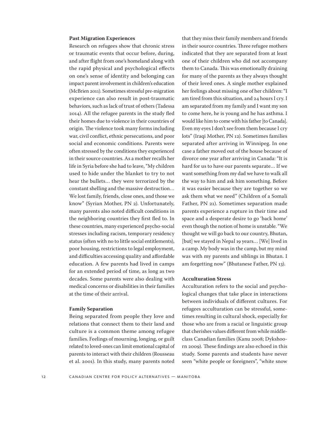#### **Past Migration Experiences**

Research on refugees show that chronic stress or traumatic events that occur before, during, and after flight from one's homeland along with the rapid physical and psychological effects on one's sense of identity and belonging can impact parent involvement in children's education (McBrien 2011). Sometimes stressful pre-migration experience can also result in post-traumatic behaviors, such as lack of trust of others (Tadessa 2014). All the refugee parents in the study fled their homes due to violence in their countries of origin. The violence took many forms including war, civil conflict, ethnic persecutions, and poor social and economic conditions. Parents were often stressed by the conditions they experienced in their source countries. As a mother recalls her life in Syria before she had to leave, "My children used to hide under the blanket to try to not hear the bullets… they were terrorized by the constant shelling and the massive destruction… We lost family, friends, close ones, and those we know" (Syrian Mother, PN 2). Unfortunately, many parents also noted difficult conditions in the neighboring countries they first fled to. In these countries, many experienced psycho-social stresses including racism, temporary residency status (often with no to little social entitlements), poor housing, restrictions to legal employment, and difficulties accessing quality and affordable education. A few parents had lived in camps for an extended period of time, as long as two decades. Some parents were also dealing with medical concerns or disabilities in their families at the time of their arrival.

#### **Family Separation**

Being separated from people they love and relations that connect them to their land and culture is a common theme among refugee families. Feelings of mourning, longing, or guilt related to loved-ones can limit emotional capital of parents to interact with their children (Rousseau et al. 2001). In this study, many parents noted that they miss their family members and friends in their source countries. Three refugee mothers indicated that they are separated from at least one of their children who did not accompany them to Canada. This was emotionally draining for many of the parents as they always thought of their loved ones. A single mother explained her feelings about missing one of her children: "I am tired from this situation, and 24 hours I cry. I am separated from my family and I want my son to come here, he is young and he has asthma. I would like him to come with his father [to Canada]. Even my eyes I don't see from them because I cry lots" (Iraqi Mother, PN 12). Sometimes families separated after arriving in Winnipeg. In one case a father moved out of the house because of divorce one year after arriving in Canada: "It is hard for us to have our parents separate… If we want something from my dad we have to walk all the way to him and ask him something. Before it was easier because they are together so we ask them what we need" (Children of a Somali Father, PN 21). Sometimes separation made parents experience a rupture in their time and space and a desperate desire to go 'back home' even though the notion of home is unstable. "We thought we will go back to our country, Bhutan, [but] we stayed in Nepal 19 years… [We] lived in a camp. My body was in the camp, but my mind was with my parents and siblings in Bhutan. I am forgetting now" (Bhutanese Father, PN 13).

#### **Acculturation Stress**

Acculturation refers to the social and psychological changes that take place in interactions between individuals of different cultures. For refugees acculturation can be stressful, sometimes resulting in cultural shock, especially for those who are from a racial or linguistic group that cherishes values different from while middleclass Canadian families (Kanu 2008; Dykshoorn 2009). These findings are also echoed in this study. Some parents and students have never seen "white people or foreigners", "white snow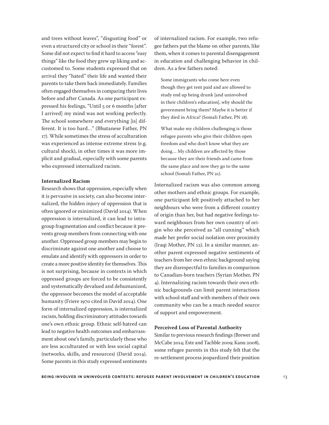and trees without leaves", "disgusting food" or even a structured city or school in their "forest". Some did not expect to find it hard to access "easy things" like the food they grew up liking and accustomed to. Some students expressed that on arrival they "hated" their life and wanted their parents to take them back immediately. Families often engaged themselves in comparing their lives before and after Canada. As one participant expressed his feelings, "Until 5 or 6 months [after I arrived] my mind was not working perfectly. The school somewhere and everything [is] different. It is too hard…" (Bhutanese Father, PN 17). While sometimes the stress of acculturation was experienced as intense extreme stress (e.g. cultural shock), in other times it was more implicit and gradual, especially with some parents who expressed internalized racism.

#### **Internalized Racism**

Research shows that oppression, especially when it is pervasive in society, can also become internalized, the hidden injury of oppression that is often ignored or minimized (David 2014). When oppression is internalized, it can lead to intragroup fragmentation and conflict because it prevents group members from connecting with one another. Oppressed group members may begin to discriminate against one another and choose to emulate and identify with oppressors in order to create a more positive identity for themselves. This is not surprising, because in contexts in which oppressed groups are forced to be consistently and systematically devalued and dehumanized, the oppressor becomes the model of acceptable humanity (Friere 1970 cited in David 2014). One form of internalized oppression, is internalized racism, holding discriminatory attitudes towards one's own ethnic group. Ethnic self-hatred can lead to negative health outcomes and embarrassment about one's family, particularly those who are less acculturated or with less social capital (networks, skills, and resources) (David 2014). Some parents in this study expressed sentiments

of internalized racism. For example, two refugee fathers put the blame on other parents, like them, when it comes to parental disengagement in education and challenging behavior in children. As a few fathers noted:

Some immigrants who come here even though they get rent paid and are allowed to study end up being drunk [and uninvolved in their children's education], why should the government bring them? Maybe it is better if they died in Africa? (Somali Father, PN 18).

What make my children challenging is those refugee parents who give their children open freedom and who don't know what they are doing… My children are affected by those because they are their friends and came from the same place and now they go to the same school (Somali Father, PN 21).

Internalized racism was also common among other mothers and ethnic groups. For example, one participant felt positively attached to her neighbours who were from a different country of origin than her, but had negative feelings toward neighbours from her own country of origin who she perceived as "all cunning" which made her prefer social isolation over proximity (Iraqi Mother, PN 12). In a similar manner, another parent expressed negative sentiments of teachers from her own ethnic background saying they are disrespectful to families in comparison to Canadian-born teachers (Syrian Mother, PN 4). Internalizing racism towards their own ethnic backgrounds can limit parent interactions with school staff and with members of their own community who can be a much needed source of support and empowerment.

#### **Perceived Loss of Parental Authority**

Similar to previous research findings (Brewer and McCabe 2014; Este and Tachble 2009; Kanu 2008), some refugee parents in this study felt that the re-settlement process jeopardized their position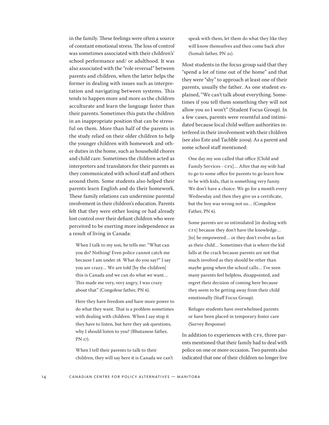in the family. These feelings were often a source of constant emotional stress. The loss of control was sometimes associated with their children's' school performance and/ or adulthood. It was also associated with the "role reversal" between parents and children, when the latter helps the former in dealing with issues such as interpretation and navigating between systems. This tends to happen more and more as the children acculturate and learn the language faster than their parents. Sometimes this puts the children in an inappropriate position that can be stressful on them. More than half of the parents in the study relied on their older children to help the younger children with homework and other duties in the home, such as household chores and child care. Sometimes the children acted as interpreters and translators for their parents as they communicated with school staff and others around them. Some students also helped their parents learn English and do their homework. These family relations can undermine parental involvement in their children's education. Parents felt that they were either losing or had already lost control over their defiant children who were perceived to be exerting more independence as a result of living in Canada:

When I talk to my son, he tells me: "What can you do? Nothing! Even police cannot catch me because I am under 18. What do you say?" I say you are crazy… We are told [by the children] this is Canada and we can do what we want… This made me very, very angry, I was crazy about that" (Congolese father, PN 6).

Here they have freedom and have more power to do what they want. That is a problem sometimes with dealing with children. When I say stop it they have to listen, but here they ask questions, why I should listen to you? (Bhutanese father, PN 17).

When I tell their parents to talk to their children, they will say here it is Canada we can't speak with them, let them do what they like they will know themselves and then come back after (Somali father, PN 21).

Most students in the focus group said that they "spend a lot of time out of the home" and that they were "shy" to approach at least one of their parents, usually the father. As one student explained, "We can't talk about everything. Sometimes if you tell them something they will not allow you so I won't" (Student Focus Group). In a few cases, parents were resentful and intimidated because local child welfare authorities interfered in their involvement with their children (see also Este and Tachble 2009). As a parent and some school staff mentioned:

One day my son called that office [Child and Family Services - CFS]… After that my wife had to go to some office for parents to go learn how to be with kids, that is something very funny. We don't have a choice. We go for a month every Wednesday and then they give us a certificate, but the boy was wrong not us… (Congolese Father, PN 6).

Some parents are so intimidated [in dealing with CFS] because they don't have the knowledge… [to] be empowered... or they don't evolve as fast as their child… Sometimes that is where the kid falls at the crack because parents are not that much involved as they should be other than maybe going when the school calls… I've seen many parents feel helpless, disappointed, and regret their decision of coming here because they seem to be getting away from their child emotionally (Staff Focus Group).

Refugee students have overwhelmed parents or have been placed in temporary foster care (Survey Response)

In addition to experiences with CFS, three parents mentioned that their family had to deal with police on one or more occasion. Two parents also indicated that one of their children no longer live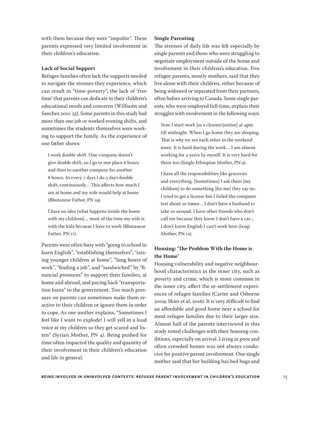with them because they were "impolite". These parents expressed very limited involvement in their children's education.

#### **Lack of Social Support**

Refugee families often lack the supports needed to navigate the stresses they experience, which can result in "time-poverty", the lack of 'free time' that parents can dedicate to their children's educational needs and concerns (Williams and Sanchez 2011: 55). Some parents in this study had more than one job or worked evening shifts, and sometimes the students themselves were working to support the family. As the experience of one father shows:

I work double shift. One company doesn't give double shift, so I go to one place 8 hours and then to another company for another 8 hours. In every 7 days I do 3 days double shift, continuously… This affects how much I am at home and my wife would help at home (Bhutanese Father, PN 19).

I have no idea [what happens inside the home with my children]… most of the time my wife is with the kids because I have to work (Bhutanese Father, PN 17).

Parents were often busy with "going to school to learn English", "establishing themselves", "raising younger children at home", "long hours of work", "finding a job", and "sandwiched" by "financial pressures" to support their families, at home and abroad, and paying back "transportation loans" to the government. Too much pressure on parents can sometimes make them reactive to their children or ignore them in order to cope. As one mother explains, "Sometimes I feel like I want to explode! I will yell in a loud voice at my children so they get scared and listen" (Syrian Mother, PN 4). Being pushed for time often impacted the quality and quantity of their involvement in their children's education and life in general.

#### **Single Parenting**

The stresses of daily life was felt especially by single parents and those who were struggling to negotiate employment outside of the home and involvement in their children's education. Five refugee parents, mostly mothers, said that they live alone with their children, either because of being widowed or separated from their partners, often before arriving to Canada. Some single parents, who were employed full-time, explain their struggles with involvement in the following ways:

Now I start work [as a cleaner/janitor] at 4pm till midnight. When I go home they are sleeping. That is why we see each other in the weekend more. It is hard during the week… I am almost working for 4 years by myself. It is very hard for them too (Single Ethiopian Mother, PN 9).

I have all the responsibilities like groceries and everything. [Sometimes] I ask them [my children] to do something [for me] they say no. I tried to get a license but I failed the computer test about 10 times… I don't have a husband to take us around. I have other friends who don't call me because they know I don't have a car… I don't know English I can't work here (Iraqi Mother, PN 12).

#### **Housing: 'The Problem With the Home is the Home'**

Housing vulnerability and negative neighbourhood characteristics in the inner city, such as poverty and crime, which is more common in the inner city, affect the re-settlement experiences of refugee families (Carter and Osborne 2009; Shier et al. 2016). It is very difficult to find an affordable and good home near a school for most refugee families due to their larger size. Almost half of the parents interviewed in this study noted challenges with their housing conditions, especially on arrival. Living in poor and often crowded homes was not always conducive for positive parent involvement. One single mother said that her building has bed bugs and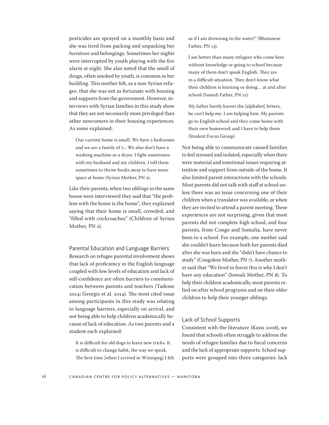pesticides are sprayed on a monthly basis and she was tired from packing and unpacking her furniture and belongings. Sometimes her nights were interrupted by youth playing with the fire alarm at night. She also noted that the smell of drugs, often smoked by youth, is common in her building. This mother felt, as a non-Syrian refugee, that she was not as fortunate with housing and supports from the government. However, interviews with Syrian families in this study show that they are not necessarily more privileged than other newcomers in their housing experiences. As some explained:

Our current home is small. We have 2 bedrooms and we are a family of 7... We also don't have a washing machine or a dryer. I fight sometimes with my husband and my children. I tell them sometimes to throw books away to have more space at home (Syrian Mother, PN 2).

Like their parents, when two siblings in the same house were interviewed they said that "the problem with the home is the home", they explained saying that their home is small, crowded, and "filled with cockroaches" (Children of Syrian Mother, PN 2).

Parental Education and Language Barriers Research on refugee parental involvement shows that lack of proficiency in the English language coupled with low levels of education and lack of self-confidence are often barriers to communication between parents and teachers (Tadesse 2014; Georgis et al. 2014). The most cited issue among participants in this study was relating to language barriers, especially on arrival, and not being able to help children academically because of lack of education. As two parents and a student each explained:

It is difficult for old dogs to learn new tricks. It is difficult to change habit, the way we speak. The first time [when I arrived in Winnipeg] I felt as if I am drowning in the water!" (Bhutanese Father, PN 13).

I am better than many refugees who come here without knowledge or going to school because many of them don't speak English. They are in a difficult situation. They don't know what their children is learning or doing… at and after school (Somali Father, PN 21).

My father barely knows the [alphabet] letters, he can't help me. I am helping him. My parents go to English school and they come home with their own homework and I have to help them (Student Focus Group).

Not being able to communicate caused families to feel stressed and isolated, especially when there were material and emotional issues requiring attention and support from outside of the home. It also limited parent interactions with the schools. Most parents did not talk with staff at school unless there was an issue concerning one of their children when a translator was available, or when they are invited to attend a parent meeting. These experiences are not surprising, given that most parents did not complete high school, and four parents, from Congo and Somalia, have never been to a school. For example, one mother said she couldn't learn because both her parents died after she was born and she "didn't have chance to study" (Congolese Mother, PN 7). Another mother said that "We lived in forest this is why I don't have any education" (Somali Mother, PN 8). To help their children academically, most parents relied on after school programs and on their older children to help their younger siblings.

#### Lack of School Supports

Consistent with the literature (Kanu 2008), we found that schools often struggle to address the needs of refugee families due to fiscal concerns and the lack of appropriate supports. School supports were grouped into three categories: lack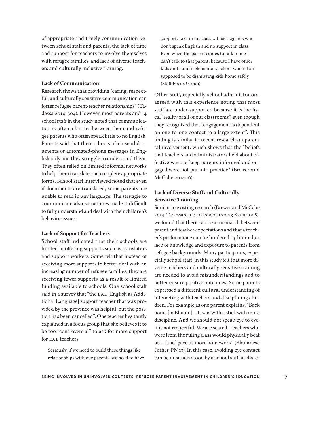of appropriate and timely communication between school staff and parents, the lack of time and support for teachers to involve themselves with refugee families, and lack of diverse teachers and culturally inclusive training.

#### **Lack of Communication**

Research shows that providing "caring, respectful, and culturally sensitive communication can foster refugee parent-teacher relationships" (Tadessa 2014: 304). However, most parents and 14 school staff in the study noted that communication is often a barrier between them and refugee parents who often speak little to no English. Parents said that their schools often send documents or automated-phone messages in English only and they struggle to understand them. They often relied on limited informal networks to help them translate and complete appropriate forms. School staff interviewed noted that even if documents are translated, some parents are unable to read in any language. The struggle to communicate also sometimes made it difficult to fully understand and deal with their children's behavior issues.

#### **Lack of Support for Teachers**

School staff indicated that their schools are limited in offering supports such as translators and support workers. Some felt that instead of receiving more supports to better deal with an increasing number of refugee families, they are receiving fewer supports as a result of limited funding available to schools. One school staff said in a survey that "the EAL [English as Additional Language] support teacher that was provided by the province was helpful, but the position has been cancelled". One teacher hesitantly explained in a focus group that she believes it to be too "controversial" to ask for more support for EAL teachers:

Seriously, if we need to build these things like relationships with our parents, we need to have support. Like in my class… I have 23 kids who don't speak English and no support in class. Even when the parent comes to talk to me I can't talk to that parent, because I have other kids and I am in elementary school where I am supposed to be dismissing kids home safely (Staff Focus Group).

Other staff, especially school administrators, agreed with this experience noting that most staff are under-supported because it is the fiscal "reality of all of our classrooms", even though they recognized that "engagement is dependent on one-to-one contact to a large extent". This finding is similar to recent research on parental involvement, which shows that the "beliefs that teachers and administrators held about effective ways to keep parents informed and engaged were not put into practice" (Brewer and McCabe 2014:16).

#### **Lack of Diverse Staff and Culturally Sensitive Training**

Similar to existing research (Brewer and McCabe 2014; Tadessa 2014; Dykshoorn 2009; Kanu 2008), we found that there can be a mismatch between parent and teacher expectations and that a teacher's performance can be hindered by limited or lack of knowledge and exposure to parents from refugee backgrounds. Many participants, especially school staff, in this study felt that more diverse teachers and culturally sensitive training are needed to avoid misunderstandings and to better ensure positive outcomes. Some parents expressed a different cultural understanding of interacting with teachers and disciplining children. For example as one parent explains, "Back home [in Bhutan]… It was with a stick with more discipline. And we should not speak eye to eye. It is not respectful. We are scared. Teachers who were from the ruling class would physically beat us… [and] gave us more homework" (Bhutanese Father, PN 13). In this case, avoiding eye contact can be misunderstood by a school staff as disre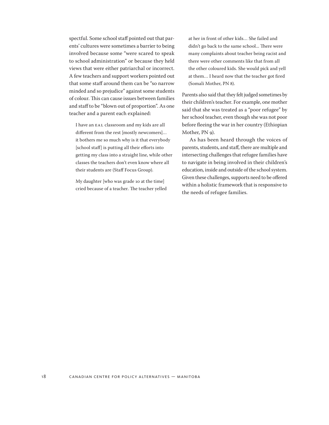spectful. Some school staff pointed out that parents' cultures were sometimes a barrier to being involved because some "were scared to speak to school administration" or because they held views that were either patriarchal or incorrect. A few teachers and support workers pointed out that some staff around them can be "so narrow minded and so prejudice" against some students of colour. This can cause issues between families and staff to be "blown out of proportion". As one teacher and a parent each explained:

I have an EAL classroom and my kids are all different from the rest [mostly newcomers]… it bothers me so much why is it that everybody [school staff] is putting all their efforts into getting my class into a straight line, while other classes the teachers don't even know where all their students are (Staff Focus Group).

My daughter [who was grade 10 at the time] cried because of a teacher. The teacher yelled at her in front of other kids… She failed and didn't go back to the same school... There were many complaints about teacher being racist and there were other comments like that from all the other coloured kids. She would pick and yell at them… I heard now that the teacher got fired (Somali Mother, PN 8).

Parents also said that they felt judged sometimes by their children's teacher. For example, one mother said that she was treated as a "poor refugee" by her school teacher, even though she was not poor before fleeing the war in her country (Ethiopian Mother, PN 9).

As has been heard through the voices of parents, students, and staff, there are multiple and intersecting challenges that refugee families have to navigate in being involved in their children's education, inside and outside of the school system. Given these challenges, supports need to be offered within a holistic framework that is responsive to the needs of refugee families.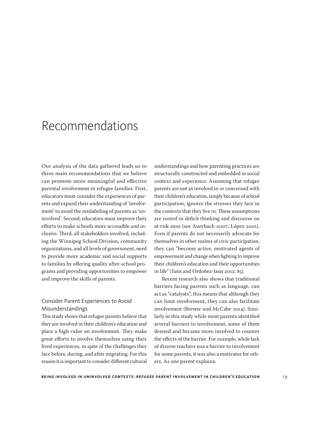## Recommendations

Our analysis of the data gathered leads us to three main recommendations that we believe can promote more meaningful and effective parental involvement in refugee families. First, educators must consider the experiences of parents and expand their understanding of 'involvement' to avoid the mislabeling of parents as 'uninvolved'. Second, educators must improve their efforts to make schools more accessible and inclusive. Third, all stakeholders involved, including the Winnipeg School Division, community organizations, and all levels of government, need to provide more academic and social supports to families by offering quality after-school programs and providing opportunities to empower and improve the skills of parents.

#### Consider Parent Experiences to Avoid Misunderstandings

This study shows that refugee parents believe that they are involved in their children's education and place a high value on involvement. They make great efforts to involve themselves using their lived experiences, in spite of the challenges they face before, during, and after migrating. For this reason it is important to consider different cultural

understandings and how parenting practices are structurally constructed and embedded in social context and experience. Assuming that refugee parents are not as involved in or concerned with their children's education, simply because of school participation, ignores the stresses they face in the contexts that they live in. These assumptions are rooted in deficit thinking and discourse on at-risk-ness (see Auerbach 2007; López 2001). Even if parents do not necessarily advocate for themselves in other realms of civic participation, they can "become active, motivated agents of empowerment and change when fighting to improve their children's education and their opportunities in life" (Jasis and Ordoñez-Jasis 2012: 85).

Recent research also shows that traditional barriers facing parents such as language, can act as "catalysts", this means that although they can limit involvement, they can also facilitate involvement (Brewer and McCabe 2014). Similarly in this study while most parents identified several barriers to involvement, some of them desired and became more involved to counter the effects of the barrier. For example, while lack of diverse teachers was a barrier to involvement for some parents, it was also a motivator for others. As one parent explains: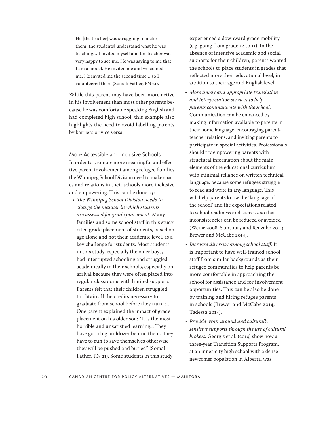He [the teacher] was struggling to make them [the students] understand what he was teaching… I invited myself and the teacher was very happy to see me. He was saying to me that I am a model. He invited me and welcomed me. He invited me the second time… so I volunteered there (Somali Father, PN 21).

While this parent may have been more active in his involvement than most other parents because he was comfortable speaking English and had completed high school, this example also highlights the need to avoid labelling parents by barriers or vice versa.

More Accessible and Inclusive Schools In order to promote more meaningful and effective parent involvement among refugee families the Winnipeg School Division need to make spaces and relations in their schools more inclusive and empowering. This can be done by:

*• The Winnipeg School Division needs to change the manner in which students are assessed for grade placement.* Many families and some school staff in this study cited grade placement of students, based on age alone and not their academic level, as a key challenge for students. Most students in this study, especially the older boys, had interrupted schooling and struggled academically in their schools, especially on arrival because they were often placed into regular classrooms with limited supports. Parents felt that their children struggled to obtain all the credits necessary to graduate from school before they turn 21. One parent explained the impact of grade placement on his older son: "It is the most horrible and unsatisfied learning... They have got a big bulldozer behind them. They have to run to save themselves otherwise they will be pushed and buried" (Somali Father, PN 21). Some students in this study

experienced a downward grade mobility (e.g. going from grade 12 to 11). In the absence of intensive academic and social supports for their children, parents wanted the schools to place students in grades that reflected more their educational level, in addition to their age and English level.

- *• More timely and appropriate translation and interpretation services to help parents communicate with the school.*  Communication can be enhanced by making information available to parents in their home language, encouraging parentteacher relations, and inviting parents to participate in special activities. Professionals should try empowering parents with structural information about the main elements of the educational curriculum with minimal reliance on written technical language, because some refugees struggle to read and write in any language. This will help parents know the 'language of the school' and the expectations related to school readiness and success, so that inconsistencies can be reduced or avoided (Weine 2008; Sainsbury and Renzaho 2011; Brewer and McCabe 2014).
- *• Increase diversity among school staff.* It is important to have well-trained school staff from similar backgrounds as their refugee communities to help parents be more comfortable in approaching the school for assistance and for involvement opportunities. This can be also be done by training and hiring refugee parents in schools (Brewer and McCabe 2014; Tadessa 2014).
- *• Provide wrap-around and culturally sensitive supports through the use of cultural brokers.* Georgis et al. (2014) show how a three-year Transition Supports Program, at an inner-city high school with a dense newcomer population in Alberta, was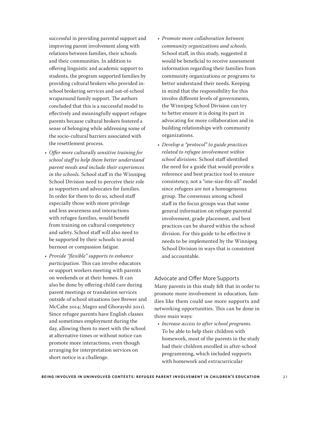successful in providing parental support and improving parent involvement along with relations between families, their schools and their communities. In addition to offering linguistic and academic support to students, the program supported families by providing cultural brokers who provided inschool brokering services and out-of-school wraparound family support. The authors concluded that this is a successful model to effectively and meaningfully support refugee parents because cultural brokers fostered a sense of belonging while addressing some of the socio-cultural barriers associated with the resettlement process.

- *• Offer more culturally sensitive training for school staff to help them better understand parent needs and include their experiences in the schools.* School staff in the Winnipeg School Division need to perceive their role as supporters and advocates for families. In order for them to do so, school staff especially those with more privilege and less awareness and interactions with refugee families, would benefit from training on cultural competency and safety. School staff will also need to be supported by their schools to avoid burnout or compassion fatigue.
- *• Provide "flexible" supports to enhance participation.* This can involve educators or support workers meeting with parents on weekends or at their homes. It can also be done by offering child care during parent meetings or translation services outside of school situations (see Brewer and McCabe 2014; Magro and Ghorayshi 2011). Since refugee parents have English classes and sometimes employment during the day, allowing them to meet with the school at alternative times or without notice can promote more interactions, even though arranging for interpretation services on short notice is a challenge.
- *• Promote more collaboration between community organizations and schools.*  School staff, in this study, suggested it would be beneficial to receive assessment information regarding their families from community organizations or programs to better understand their needs. Keeping in mind that the responsibility for this involve different levels of governments, the Winnipeg School Division can try to better ensure it is doing its part in advocating for more collaboration and in building relationships with community organizations.
- *• Develop a "protocol" to guide practices related to refugee involvement within school divisions.* School staff identified the need for a guide that would provide a reference and best practice tool to ensure consistency, not a "one-size-fits-all" model since refugees are not a homogeneous group. The consensus among school staff in the focus groups was that some general information on refugee parental involvement, grade placement, and best practices can be shared within the school division. For this guide to be effective it needs to be implemented by the Winnipeg School Division in ways that is consistent and accountable.

Advocate and Offer More Supports Many parents in this study felt that in order to promote more involvement in education, families like them could use more supports and networking opportunities. This can be done in three main ways:

*• Increase access to after school programs.*  To be able to help their children with homework, most of the parents in the study had their children enrolled in after-school programming, which included supports with homework and extracurricular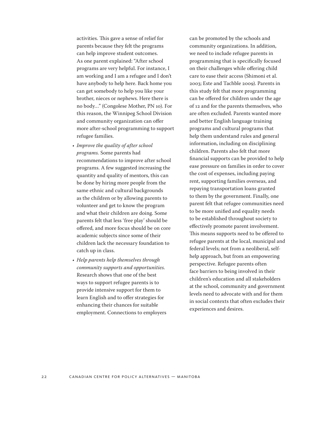activities. This gave a sense of relief for parents because they felt the programs can help improve student outcomes. As one parent explained: "After school programs are very helpful. For instance, I am working and I am a refugee and I don't have anybody to help here. Back home you can get somebody to help you like your brother, nieces or nephews. Here there is no body…" (Congolese Mother, PN 10). For this reason, the Winnipeg School Division and community organization can offer more after-school programming to support refugee families.

- *• Improve the quality of after school programs.* Some parents had recommendations to improve after school programs. A few suggested increasing the quantity and quality of mentors, this can be done by hiring more people from the same ethnic and cultural backgrounds as the children or by allowing parents to volunteer and get to know the program and what their children are doing. Some parents felt that less 'free play' should be offered, and more focus should be on core academic subjects since some of their children lack the necessary foundation to catch up in class.
- *• Help parents help themselves through community supports and opportunities.*  Research shows that one of the best ways to support refugee parents is to provide intensive support for them to learn English and to offer strategies for enhancing their chances for suitable employment. Connections to employers

can be promoted by the schools and community organizations. In addition, we need to include refugee parents in programming that is specifically focused on their challenges while offering child care to ease their access (Shimoni et al. 2003; Este and Tachble 2009). Parents in this study felt that more programming can be offered for children under the age of 12 and for the parents themselves, who are often excluded. Parents wanted more and better English language training programs and cultural programs that help them understand rules and general information, including on disciplining children. Parents also felt that more financial supports can be provided to help ease pressure on families in order to cover the cost of expenses, including paying rent, supporting families overseas, and repaying transportation loans granted to them by the government. Finally, one parent felt that refugee communities need to be more unified and equality needs to be established throughout society to effectively promote parent involvement. This means supports need to be offered to refugee parents at the local, municipal and federal levels; not from a neoliberal, selfhelp approach, but from an empowering perspective. Refugee parents often face barriers to being involved in their children's education and all stakeholders at the school, community and government levels need to advocate with and for them in social contexts that often excludes their experiences and desires.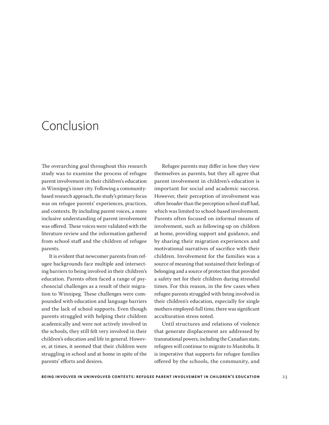## Conclusion

The overarching goal throughout this research study was to examine the process of refugee parent involvement in their children's education in Winnipeg's inner city. Following a communitybased research approach, the study's primary focus was on refugee parents' experiences, practices, and contexts. By including parent voices, a more inclusive understanding of parent involvement was offered. These voices were validated with the literature review and the information gathered from school staff and the children of refugee parents.

It is evident that newcomer parents from refugee backgrounds face multiple and intersecting barriers to being involved in their children's education. Parents often faced a range of psychosocial challenges as a result of their migration to Winnipeg. These challenges were compounded with education and language barriers and the lack of school supports. Even though parents struggled with helping their children academically and were not actively involved in the schools, they still felt very involved in their children's education and life in general. However, at times, it seemed that their children were struggling in school and at home in spite of the parents' efforts and desires.

Refugee parents may differ in how they view themselves as parents, but they all agree that parent involvement in children's education is important for social and academic success. However, their perception of involvement was often broader than the perception school staff had, which was limited to school-based involvement. Parents often focused on informal means of involvement, such as following-up on children at home, providing support and guidance, and by sharing their migration experiences and motivational narratives of sacrifice with their children. Involvement for the families was a source of meaning that sustained their feelings of belonging and a source of protection that provided a safety net for their children during stressful times. For this reason, in the few cases when refugee parents struggled with being involved in their children's education, especially for single mothers employed-full time, there was significant acculturation stress noted.

Until structures and relations of violence that generate displacement are addressed by transnational powers, including the Canadian state, refugees will continue to migrate to Manitoba. It is imperative that supports for refugee families offered by the schools, the community, and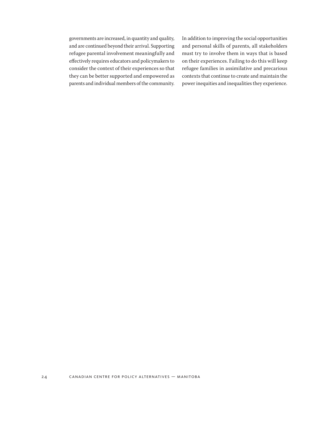governments are increased, in quantity and quality, and are continued beyond their arrival. Supporting refugee parental involvement meaningfully and effectively requires educators and policymakers to consider the context of their experiences so that they can be better supported and empowered as parents and individual members of the community. In addition to improving the social opportunities and personal skills of parents, all stakeholders must try to involve them in ways that is based on their experiences. Failing to do this will keep refugee families in assimilative and precarious contexts that continue to create and maintain the power inequities and inequalities they experience.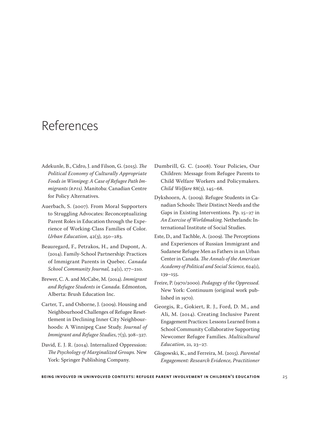## References

- Adekunle, B., Cidro, J. and Filson, G. (2015). *The Political Economy of Culturally Appropriate Foods in Winnipeg: A Case of Refugee Path Immigrants (RPIs).* Manitoba: Canadian Centre for Policy Alternatives.
- Auerbach, S. (2007). From Moral Supporters to Struggling Advocates: Reconceptualizing Parent Roles in Education through the Experience of Working-Class Families of Color. *Urban Education*, 42(3), 250–283.
- Beauregard, F., Petrakos, H., and Dupont, A. (2014). Family-School Partnership: Practices of Immigrant Parents in Quebec. *Canada School Community Journal,* 24(1), 177–210.
- Brewer, C. A. and McCabe, M. (2014). *Immigrant and Refugee Students in Canada.* Edmonton, Alberta: Brush Education Inc.
- Carter, T., and Osborne, J. (2009). Housing and Neighbourhood Challenges of Refugee Resettlement in Declining Inner City Neighbourhoods: A Winnipeg Case Study. *Journal of Immigrant and Refugee Studies*, 7(3), 308–327.
- David, E. J. R. (2014). Internalized Oppression: *The Psychology of Marginalized Groups.* New York: Springer Publishing Company.
- Dumbrill, G. C. (2008). Your Policies, Our Children: Message from Refugee Parents to Child Welfare Workers and Policymakers. *Child Welfare* 88(3), 145–68.
- Dykshoorn, A. (2009). Refugee Students in Canadian Schools: Their Distinct Needs and the Gaps in Existing Interventions. Pp. 15–27 in *An Exercise of Worldmaking*. Netherlands: International Institute of Social Studies.
- Este, D., and Tachble, A. (2009). The Perceptions and Experiences of Russian Immigrant and Sudanese Refugee Men as Fathers in an Urban Center in Canada. *The Annals of the American Academy of Political and Social Science,* 624(1), 139–155.
- Freire, P. (1970/2000). *Pedagogy of the Oppressed.*  New York: Continuum (original work published in 1970).
- Georgis, R., Gokiert, R. J., Ford, D. M., and Ali, M. (2014). Creating Inclusive Parent Engagement Practices: Lessons Learned from a School Community Collaborative Supporting Newcomer Refugee Families. *Multicultural Education*, 21, 23–27.
- Glogowski, K., and Ferreira, M. (2015). *Parental Engagement: Research Evidence, Practitioner*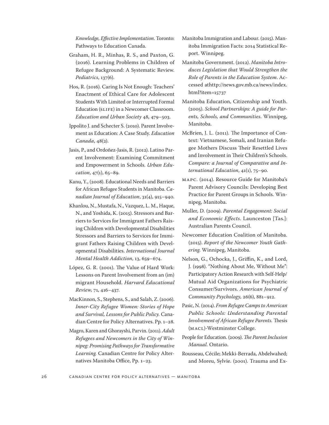*Knowledge, Effective Implementation*. Toronto: Pathways to Education Canada.

- Graham, H. R., Minhas, R. S., and Paxton, G. (2016). Learning Problems in Children of Refugee Background: A Systematic Review. *Pediatrics*, 137(6).
- Hos, R. (2016). Caring Is Not Enough: Teachers' Enactment of Ethical Care for Adolescent Students With Limited or Interrupted Formal Education (SLIFE) in a Newcomer Classroom. *Education and Urban Society* 48, 479–503.
- Ippolito J. and Schecter S. (2010). Parent Involvement as Education: A Case Study. *Education Canada*, 48(2).
- Jasis, P., and Ordoñez-Jasis, R. (2012). Latino Parent Involvement: Examining Commitment and Empowerment in Schools. *Urban Education*, 47(1), 65–89.
- Kanu, Y., (2008). Educational Needs and Barriers for African Refugee Students in Manitoba. *Canadian Journal of Education*, 31(4), 915–940.
- Khanlou, N., Mustafa, N., Vazquez, L. M., Haque, N., and Yoshida, K. (2015). Stressors and Barriers to Services for Immigrant Fathers Raising Children with Developmental Disabilities Stressors and Barriers to Services for Immigrant Fathers Raising Children with Developmental Disabilities. *International Journal Mental Health Addiction*, 13, 659–674.
- López, G. R. (2001). The Value of Hard Work: Lessons on Parent Involvement from an (im) migrant Household. *Harvard Educational Review,* 71, 416–437.
- MacKinnon, S., Stephens, S., and Salah, Z. (2006). *Inner-City Refugee Women: Stories of Hope and Survival, Lessons for Public Policy.* Canadian Centre for Policy Alternatives. Pp. 1–28.
- Magro, Karen and Ghorayshi, Parvin. (2011). *Adult Refugees and Newcomers in the City of Winnipeg: Promising Pathways for Transformative Learning.* Canadian Centre for Policy Alternatives Manitoba Office, Pp. 1–23.
- Manitoba Immigration and Labour. (2015). Manitoba Immigration Facts: 2014 Statistical Report. Winnipeg.
- Manitoba Government. (2012). *Manitoba Introduces Legislation that Would Strengthen the Role of Parents in the Education System*. Accessed athttp://news.gov.mb.ca/news/index. html?item=15737
- Manitoba Education, Citizenship and Youth. (2005). *School Partnerships: A guide for Parents, Schools, and Communities*. Winnipeg, Manitoba.
- McBrien, J. L. (2011). The Importance of Context: Vietnamese, Somali, and Iranian Refugee Mothers Discuss Their Resettled Lives and Involvement in Their Children's Schools. *Compare: a Journal of Comparative and International Education*, 41(1), 75–90.
- MAPC. (2014). Resource Guide for Manitoba's Parent Advisory Councils: Developing Best Practice for Parent Groups in Schools. Winnipeg, Manitoba.
- Muller, D. (2009). *Parental Engagement: Social and Economic Effects*. Launceston [Tas.]: Australian Parents Council.
- Newcomer Education Coalition of Manitoba. (2015). *Report of the Newcomer Youth Gathering*. Winnipeg, Manitoba.
- Nelson, G., Ochocka, J., Griffin, K., and Lord, J. (1998). "Nothing About Me, Without Me": Participatory Action Research with Self-Help/ Mutual Aid Organizations for Psychiatric Consumer/Survivors. *American Journal of Community Psychology,* 26(6), 881–912.
- Pasic, N. (2014). *From Refugee Camps to American Public Schools: Understanding Parental Involvement of African Refugee Parents.* Thesis (MACL)-Westminster College.
- People for Education. (2009). *The Parent Inclusion Manual.* Ontario.
- Rousseau, Cécile; Mekki-Berrada, Abdelwahed; and Moreu, Sylvie. (2001). Trauma and Ex-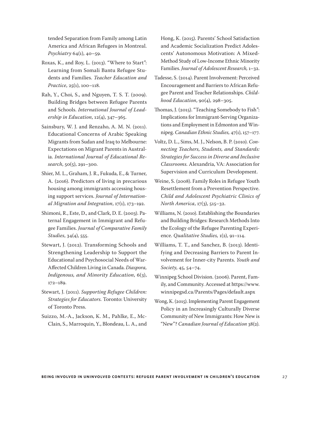tended Separation from Family among Latin America and African Refugees in Montreal. *Psychiatry* 64(1), 40–59.

- Roxas, K., and Roy, L. (2013). "Where to Start": Learning from Somali Bantu Refugee Students and Families. *Teacher Education and Practice*, 25(1), 100–118.
- Rah, Y., Choi, S., and Nguyen, T. S. T. (2009). Building Bridges between Refugee Parents and Schools. *International Journal of Leadership in Education*, 12(4), 347–365.
- Sainsbury, W. J. and Renzaho, A. M. N. (2011). Educational Concerns of Arabic Speaking Migrants from Sudan and Iraq to Melbourne: Expectations on Migrant Parents in Australia. *International Journal of Educational Research*, 50(5), 291–300.
- Shier, M. L., Graham, J. R., Fukuda, E., & Turner, A. (2016). Predictors of living in precarious housing among immigrants accessing housing support services. *Journal of International Migration and Integration*, 17(1), 173–192.
- Shimoni, R., Este, D., and Clark, D. E. (2003). Paternal Engagement in Immigrant and Refugee Families. *Journal of Comparative Family Studies*, 34(4), 555.
- Stewart, J. (2012). Transforming Schools and Strengthening Leadership to Support the Educational and Psychosocial Needs of War-Affected Children Living in Canada. *Diaspora, Indigenous, and Minority Education*, 6(3), 172–189.
- Stewart, J. (2011). *Supporting Refugee Children: Strategies for Educators.* Toronto: University of Toronto Press.
- Suizzo, M.-A., Jackson, K. M., Pahlke, E., Mc-Clain, S., Marroquin, Y., Blondeau, L. A., and

Hong, K. (2015). Parents' School Satisfaction and Academic Socialization Predict Adolescents' Autonomous Motivation: A Mixed-Method Study of Low-Income Ethnic Minority Families. *Journal of Adolescent Research,* 1–32.

- Tadesse, S. (2014). Parent Involvement: Perceived Encouragement and Barriers to African Refugee Parent and Teacher Relationships. *Childhood Education*, 90(4), 298–305.
- Thomas, J. (2015). "Teaching Somebody to Fish": Implications for Immigrant-Serving Organizations and Employment in Edmonton and Winnipeg. *Canadian Ethnic Studies,* 47(1), 157–177.
- Voltz, D. L., Sims, M. J., Nelson, B. P. (2010). *Connecting Teachers, Students, and Standards: Strategies for Success in Diverse and Inclusive Classrooms.* Alexandria, VA: Association for Supervision and Curriculum Development.
- Weine, S. (2008). Family Roles in Refugee Youth Resettlement from a Prevention Perspective. *Child and Adolescent Psychiatric Clinics of North America*, 17(3), 515–32.
- Williams, N. (2010). Establishing the Boundaries and Building Bridges: Research Methods Into the Ecology of the Refugee Parenting Experience. *Qualitative Studies,* 1(2), 91–114.
- Williams, T. T., and Sanchez, B. (2013). Identifying and Decreasing Barriers to Parent Involvement for Inner-city Parents. *Youth and Society*, 45, 54–74.
- Winnipeg School Division. (2006). Parent, Family, and Community. Accessed at https://www. winnipegsd.ca/Parents/Pages/default.aspx
- Wong, K. (2015). Implementing Parent Engagement Policy in an Increasingly Culturally Diverse Community of New Immigrants: How New is "New"? *Canadian Journal of Education* 38(2).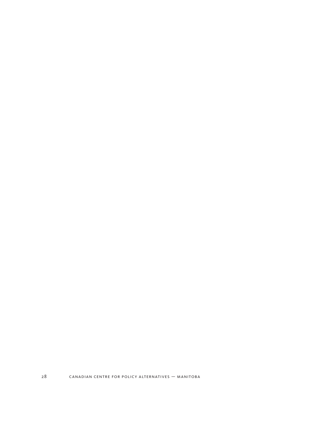canadian centre for policy alternatives — MANITOBA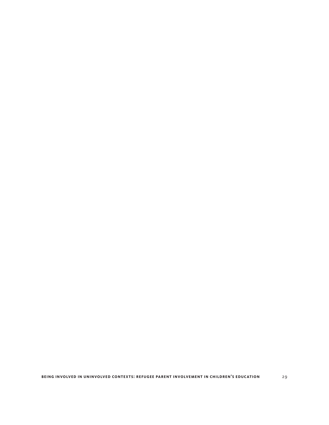**Being Involved in Uninvolved Contexts: Refugee Parent Involvement in Children's Education** 29